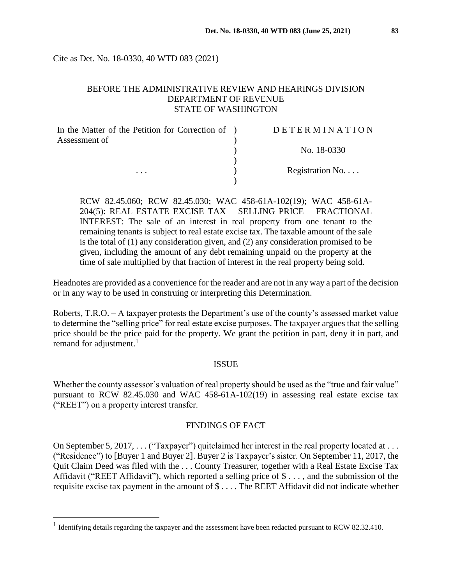Cite as Det. No. 18-0330, 40 WTD 083 (2021)

## BEFORE THE ADMINISTRATIVE REVIEW AND HEARINGS DIVISION DEPARTMENT OF REVENUE STATE OF WASHINGTON

| In the Matter of the Petition for Correction of ) | DETERMINATION   |
|---------------------------------------------------|-----------------|
| Assessment of                                     |                 |
| $\cdots$                                          | No. 18-0330     |
|                                                   |                 |
|                                                   | Registration No |
|                                                   |                 |

RCW 82.45.060; RCW 82.45.030; WAC 458-61A-102(19); WAC 458-61A-204(5): REAL ESTATE EXCISE TAX – SELLING PRICE – FRACTIONAL INTEREST: The sale of an interest in real property from one tenant to the remaining tenants is subject to real estate excise tax. The taxable amount of the sale is the total of (1) any consideration given, and (2) any consideration promised to be given, including the amount of any debt remaining unpaid on the property at the time of sale multiplied by that fraction of interest in the real property being sold.

Headnotes are provided as a convenience for the reader and are not in any way a part of the decision or in any way to be used in construing or interpreting this Determination.

Roberts, T.R.O. – A taxpayer protests the Department's use of the county's assessed market value to determine the "selling price" for real estate excise purposes. The taxpayer argues that the selling price should be the price paid for the property. We grant the petition in part, deny it in part, and remand for adjustment.<sup>1</sup>

#### ISSUE

Whether the county assessor's valuation of real property should be used as the "true and fair value" pursuant to RCW 82.45.030 and WAC 458-61A-102(19) in assessing real estate excise tax ("REET") on a property interest transfer.

#### FINDINGS OF FACT

On September 5, 2017,  $\dots$  ("Taxpayer") quitclaimed her interest in the real property located at  $\dots$ ("Residence") to [Buyer 1 and Buyer 2]. Buyer 2 is Taxpayer's sister. On September 11, 2017, the Quit Claim Deed was filed with the . . . County Treasurer, together with a Real Estate Excise Tax Affidavit ("REET Affidavit"), which reported a selling price of \$ . . . , and the submission of the requisite excise tax payment in the amount of \$ . . . . The REET Affidavit did not indicate whether

 $\overline{a}$ 

<sup>&</sup>lt;sup>1</sup> Identifying details regarding the taxpayer and the assessment have been redacted pursuant to RCW 82.32.410.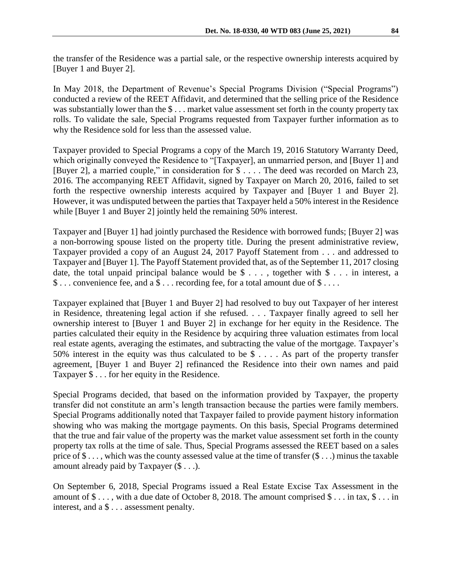the transfer of the Residence was a partial sale, or the respective ownership interests acquired by [Buyer 1 and Buyer 2].

In May 2018, the Department of Revenue's Special Programs Division ("Special Programs") conducted a review of the REET Affidavit, and determined that the selling price of the Residence was substantially lower than the \$ . . . market value assessment set forth in the county property tax rolls. To validate the sale, Special Programs requested from Taxpayer further information as to why the Residence sold for less than the assessed value.

Taxpayer provided to Special Programs a copy of the March 19, 2016 Statutory Warranty Deed, which originally conveyed the Residence to "[Taxpayer], an unmarried person, and [Buyer 1] and [Buyer 2], a married couple," in consideration for \$ . . . . The deed was recorded on March 23, 2016. The accompanying REET Affidavit, signed by Taxpayer on March 20, 2016, failed to set forth the respective ownership interests acquired by Taxpayer and [Buyer 1 and Buyer 2]. However, it was undisputed between the parties that Taxpayer held a 50% interest in the Residence while [Buyer 1 and Buyer 2] jointly held the remaining 50% interest.

Taxpayer and [Buyer 1] had jointly purchased the Residence with borrowed funds; [Buyer 2] was a non-borrowing spouse listed on the property title. During the present administrative review, Taxpayer provided a copy of an August 24, 2017 Payoff Statement from . . . and addressed to Taxpayer and [Buyer 1]. The Payoff Statement provided that, as of the September 11, 2017 closing date, the total unpaid principal balance would be  $\$\ldots$ , together with  $\$\ldots$  in interest, a \$ . . . convenience fee, and a \$ . . . recording fee, for a total amount due of \$ . . . .

Taxpayer explained that [Buyer 1 and Buyer 2] had resolved to buy out Taxpayer of her interest in Residence, threatening legal action if she refused. . . . Taxpayer finally agreed to sell her ownership interest to [Buyer 1 and Buyer 2] in exchange for her equity in the Residence. The parties calculated their equity in the Residence by acquiring three valuation estimates from local real estate agents, averaging the estimates, and subtracting the value of the mortgage. Taxpayer's 50% interest in the equity was thus calculated to be \$ . . . . As part of the property transfer agreement, [Buyer 1 and Buyer 2] refinanced the Residence into their own names and paid Taxpayer \$ . . . for her equity in the Residence.

Special Programs decided, that based on the information provided by Taxpayer, the property transfer did not constitute an arm's length transaction because the parties were family members. Special Programs additionally noted that Taxpayer failed to provide payment history information showing who was making the mortgage payments. On this basis, Special Programs determined that the true and fair value of the property was the market value assessment set forth in the county property tax rolls at the time of sale. Thus, Special Programs assessed the REET based on a sales price of \$ . . . , which was the county assessed value at the time of transfer (\$ . . .) minus the taxable amount already paid by Taxpayer (\$ . . .).

On September 6, 2018, Special Programs issued a Real Estate Excise Tax Assessment in the amount of  $\$\ldots$ , with a due date of October 8, 2018. The amount comprised  $\$\ldots$  in tax,  $\$\ldots$  in interest, and a \$ . . . assessment penalty.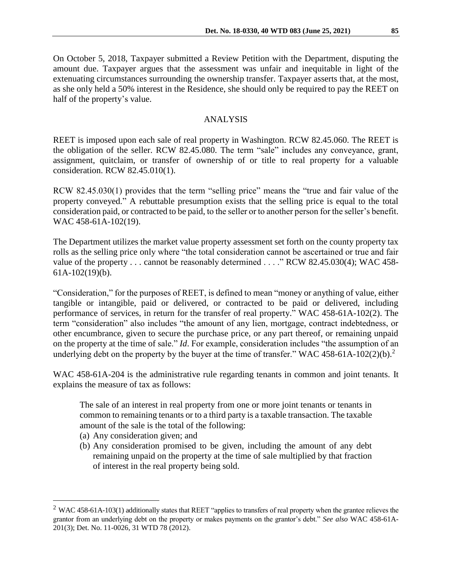On October 5, 2018, Taxpayer submitted a Review Petition with the Department, disputing the amount due. Taxpayer argues that the assessment was unfair and inequitable in light of the extenuating circumstances surrounding the ownership transfer. Taxpayer asserts that, at the most, as she only held a 50% interest in the Residence, she should only be required to pay the REET on half of the property's value.

## ANALYSIS

REET is imposed upon each sale of real property in Washington. RCW 82.45.060. The REET is the obligation of the seller. RCW 82.45.080. The term "sale" includes any conveyance, grant, assignment, quitclaim, or transfer of ownership of or title to real property for a valuable consideration. RCW 82.45.010(1).

RCW 82.45.030(1) provides that the term "selling price" means the "true and fair value of the property conveyed." A rebuttable presumption exists that the selling price is equal to the total consideration paid, or contracted to be paid, to the seller or to another person for the seller's benefit. WAC 458-61A-102(19).

The Department utilizes the market value property assessment set forth on the county property tax rolls as the selling price only where "the total consideration cannot be ascertained or true and fair value of the property . . . cannot be reasonably determined . . . ." RCW 82.45.030(4); WAC 458- 61A-102(19)(b).

"Consideration," for the purposes of REET, is defined to mean "money or anything of value, either tangible or intangible, paid or delivered, or contracted to be paid or delivered, including performance of services, in return for the transfer of real property." WAC 458-61A-102(2). The term "consideration" also includes "the amount of any lien, mortgage, contract indebtedness, or other encumbrance, given to secure the purchase price, or any part thereof, or remaining unpaid on the property at the time of sale." *Id*. For example, consideration includes "the assumption of an underlying debt on the property by the buyer at the time of transfer." WAC 458-61A-102(2)(b).<sup>2</sup>

WAC 458-61A-204 is the administrative rule regarding tenants in common and joint tenants. It explains the measure of tax as follows:

The sale of an interest in real property from one or more joint tenants or tenants in common to remaining tenants or to a third party is a taxable transaction. The taxable amount of the sale is the total of the following:

(a) Any consideration given; and

 $\overline{a}$ 

(b) Any consideration promised to be given, including the amount of any debt remaining unpaid on the property at the time of sale multiplied by that fraction of interest in the real property being sold.

 $2$  WAC 458-61A-103(1) additionally states that REET "applies to transfers of real property when the grantee relieves the grantor from an underlying debt on the property or makes payments on the grantor's debt." *See also* WAC 458-61A-201(3); Det. No. 11-0026, 31 WTD 78 (2012).